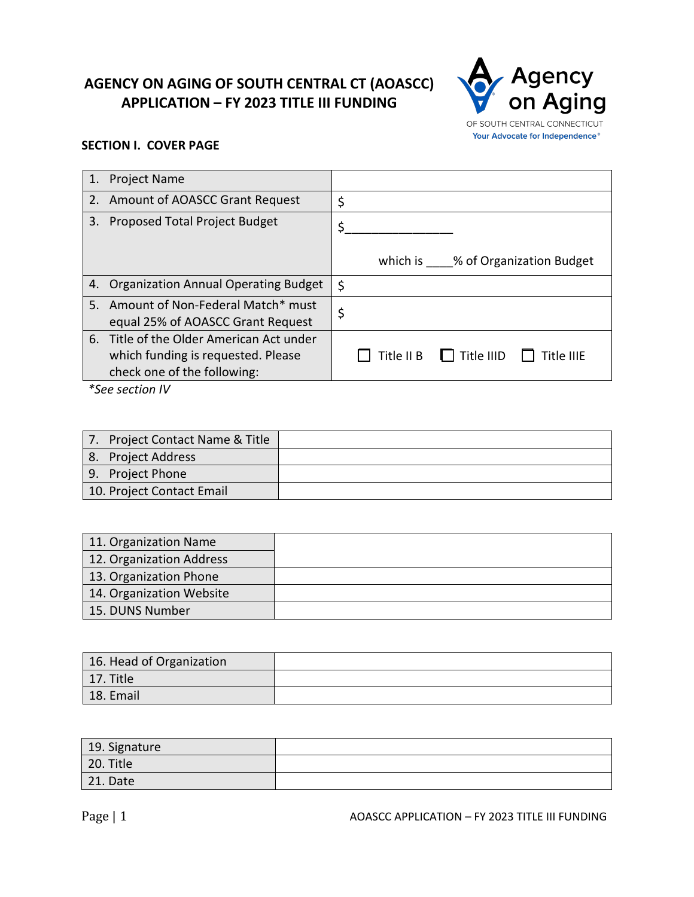# **AGENCY ON AGING OF SOUTH CENTRAL CT (AOASCC) APPLICATION – FY 2023 TITLE III FUNDING**



# **SECTION I. COVER PAGE**

| 1. | <b>Project Name</b>                                                       |                                       |
|----|---------------------------------------------------------------------------|---------------------------------------|
|    | 2. Amount of AOASCC Grant Request                                         | \$                                    |
| 3. | Proposed Total Project Budget                                             | \$                                    |
|    |                                                                           | which is % of Organization Budget     |
|    | 4. Organization Annual Operating Budget                                   | \$                                    |
|    | 5. Amount of Non-Federal Match* must<br>equal 25% of AOASCC Grant Request | \$                                    |
|    | 6. Title of the Older American Act under                                  |                                       |
|    | which funding is requested. Please                                        | Title $\Box$ Title IIID<br>Title IIIE |
|    | check one of the following:                                               |                                       |
|    | *See section IV                                                           |                                       |

| Project Contact Name & Title |  |
|------------------------------|--|
| 8. Project Address           |  |
| 9. Project Phone             |  |
| 10. Project Contact Email    |  |

| 11. Organization Name    |  |
|--------------------------|--|
| 12. Organization Address |  |
| 13. Organization Phone   |  |
| 14. Organization Website |  |
| 15. DUNS Number          |  |

| 16. Head of Organization |  |
|--------------------------|--|
| 17. Title                |  |
| 18. Email                |  |

| 19. Signature |  |
|---------------|--|
| 20. Title     |  |
| 21. Date      |  |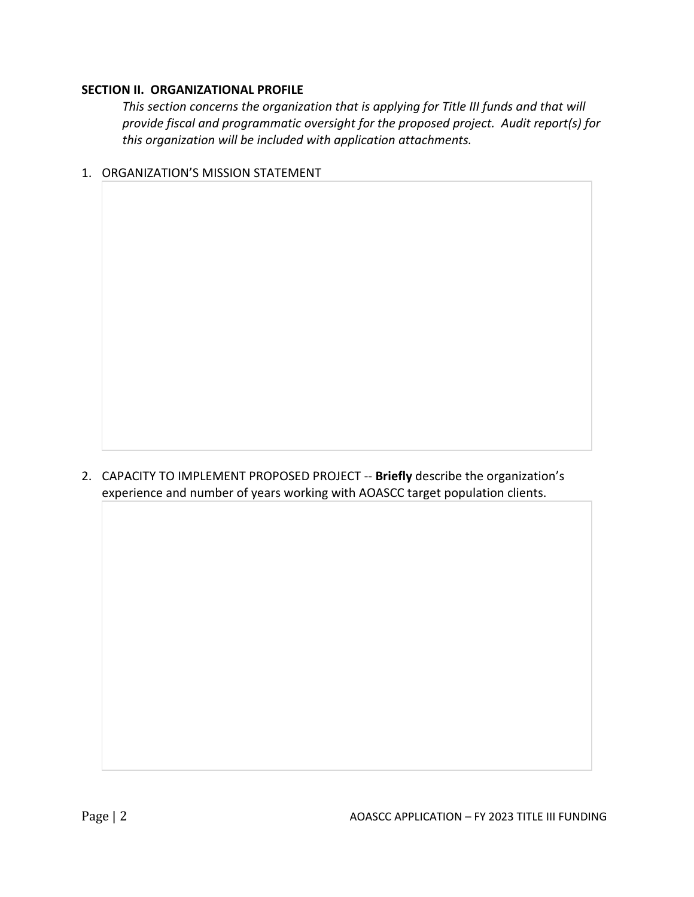## **SECTION II. ORGANIZATIONAL PROFILE**

*This section concerns the organization that is applying for Title III funds and that will provide fiscal and programmatic oversight for the proposed project. Audit report(s) for this organization will be included with application attachments.*

1. ORGANIZATION'S MISSION STATEMENT

2. CAPACITY TO IMPLEMENT PROPOSED PROJECT -- **Briefly** describe the organization's experience and number of years working with AOASCC target population clients.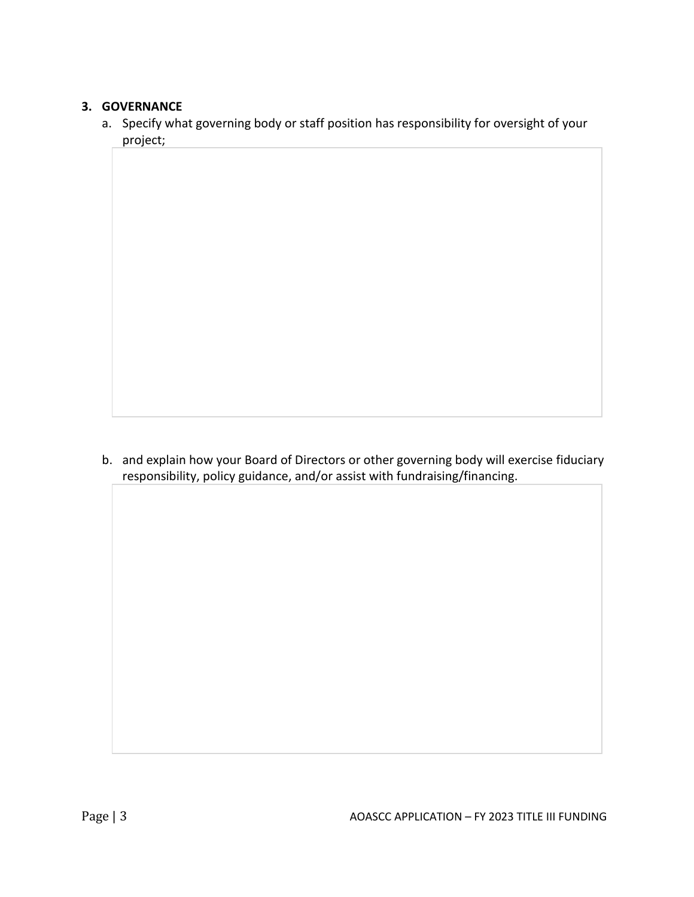# **3. GOVERNANCE**

a. Specify what governing body or staff position has responsibility for oversight of your project;

b. and explain how your Board of Directors or other governing body will exercise fiduciary responsibility, policy guidance, and/or assist with fundraising/financing.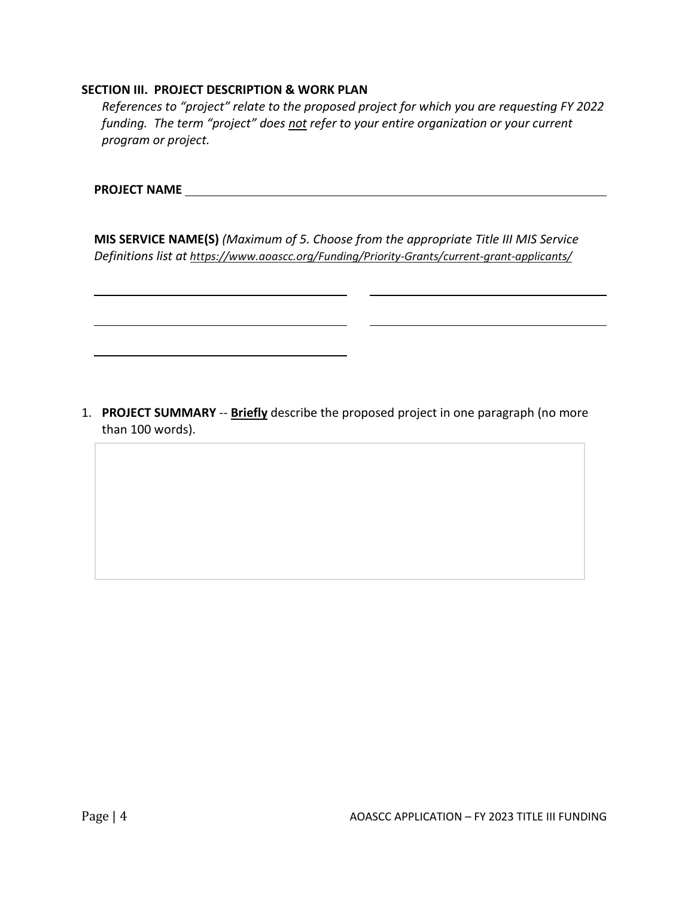## **SECTION III. PROJECT DESCRIPTION & WORK PLAN**

*References to "project" relate to the proposed project for which you are requesting FY 2022 funding. The term "project" does not refer to your entire organization or your current program or project.*

| <b>PROJECT NAME</b> |  |  |
|---------------------|--|--|
|                     |  |  |

**MIS SERVICE NAME(S)** *(Maximum of 5. Choose from the appropriate Title III MIS Service Definitions list at https://www.aoascc.org/Funding/Priority-Grants/current-grant-applicants/*

1. **PROJECT SUMMARY** -- **Briefly** describe the proposed project in one paragraph (no more than 100 words).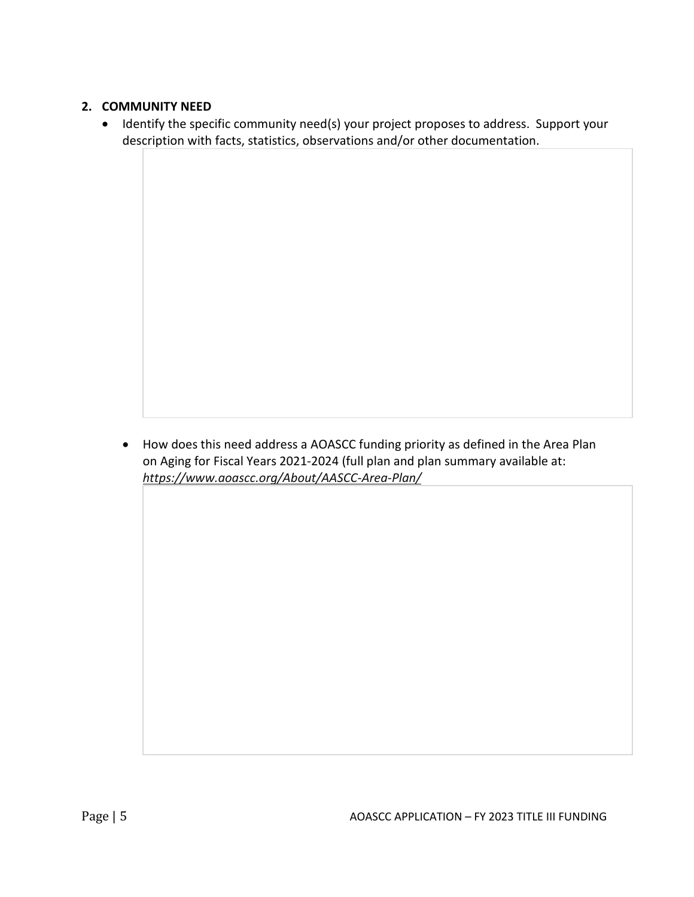# **2. COMMUNITY NEED**

• Identify the specific community need(s) your project proposes to address. Support your description with facts, statistics, observations and/or other documentation.

• How does this need address a AOASCC funding priority as defined in the Area Plan on Aging for Fiscal Years 2021-2024 (full plan and plan summary available at: *https://www.aoascc.org/About/AASCC-Area-Plan/*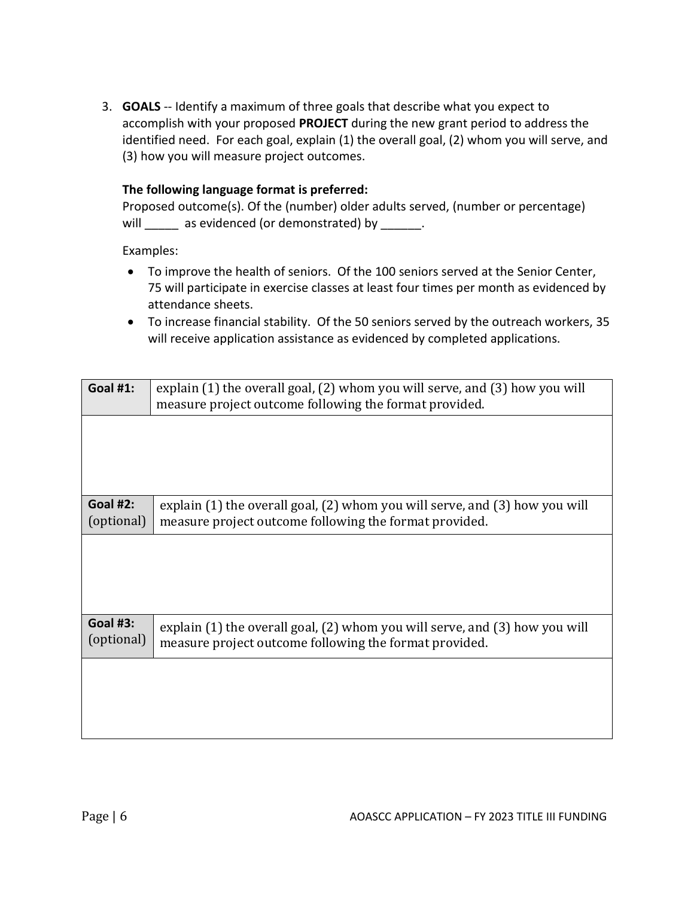3. **GOALS** -- Identify a maximum of three goals that describe what you expect to accomplish with your proposed **PROJECT** during the new grant period to address the identified need. For each goal, explain (1) the overall goal, (2) whom you will serve, and (3) how you will measure project outcomes.

## **The following language format is preferred:**

|      | Proposed outcome(s). Of the (number) older adults served, (number or percentage) |
|------|----------------------------------------------------------------------------------|
| will | as evidenced (or demonstrated) by                                                |

Examples:

- To improve the health of seniors. Of the 100 seniors served at the Senior Center, 75 will participate in exercise classes at least four times per month as evidenced by attendance sheets.
- To increase financial stability. Of the 50 seniors served by the outreach workers, 35 will receive application assistance as evidenced by completed applications.

| <b>Goal #1:</b>               | explain (1) the overall goal, (2) whom you will serve, and (3) how you will<br>measure project outcome following the format provided. |  |  |
|-------------------------------|---------------------------------------------------------------------------------------------------------------------------------------|--|--|
|                               |                                                                                                                                       |  |  |
|                               |                                                                                                                                       |  |  |
| <b>Goal #2:</b><br>(optional) | explain (1) the overall goal, (2) whom you will serve, and (3) how you will<br>measure project outcome following the format provided. |  |  |
|                               |                                                                                                                                       |  |  |
|                               |                                                                                                                                       |  |  |
| <b>Goal #3:</b><br>(optional) | explain (1) the overall goal, (2) whom you will serve, and (3) how you will<br>measure project outcome following the format provided. |  |  |
|                               |                                                                                                                                       |  |  |
|                               |                                                                                                                                       |  |  |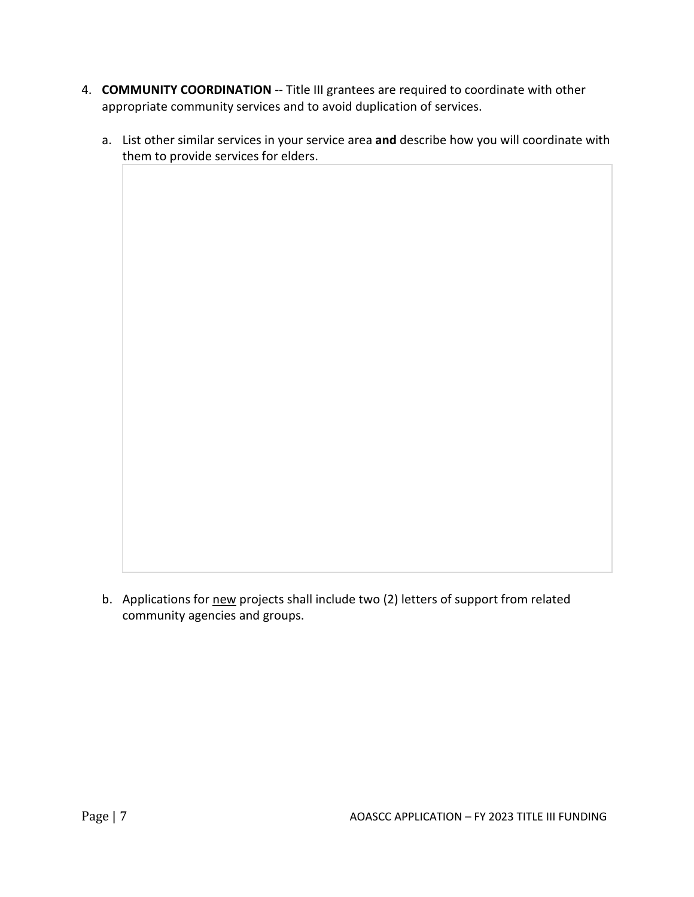- 4. **COMMUNITY COORDINATION** -- Title III grantees are required to coordinate with other appropriate community services and to avoid duplication of services.
	- a. List other similar services in your service area **and** describe how you will coordinate with them to provide services for elders.

b. Applications for new projects shall include two (2) letters of support from related community agencies and groups.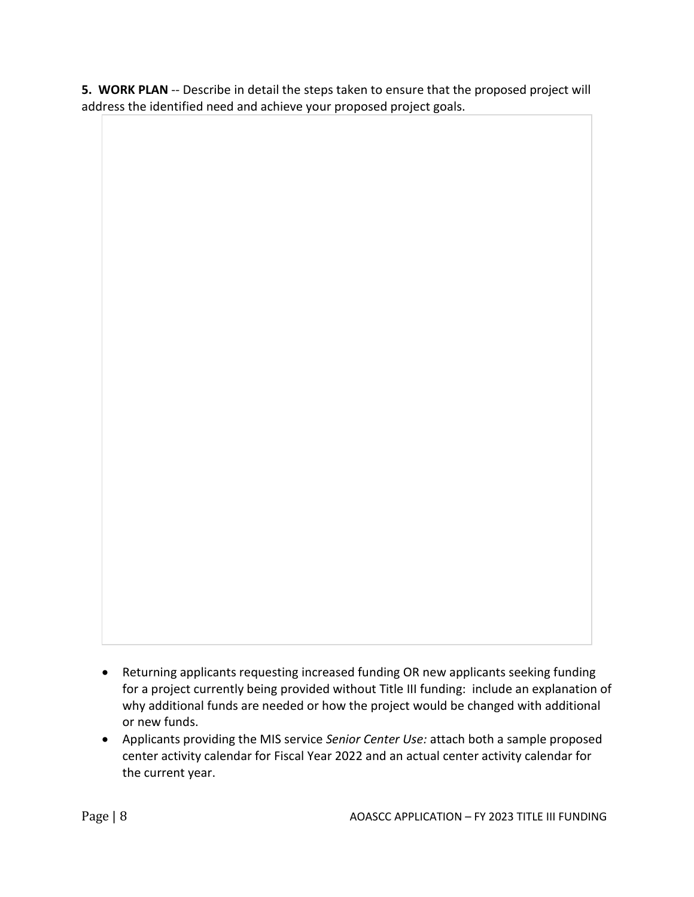**5. WORK PLAN** -- Describe in detail the steps taken to ensure that the proposed project will address the identified need and achieve your proposed project goals.

- Returning applicants requesting increased funding OR new applicants seeking funding for a project currently being provided without Title III funding: include an explanation of why additional funds are needed or how the project would be changed with additional or new funds.
- Applicants providing the MIS service *Senior Center Use:* attach both a sample proposed center activity calendar for Fiscal Year 2022 and an actual center activity calendar for the current year.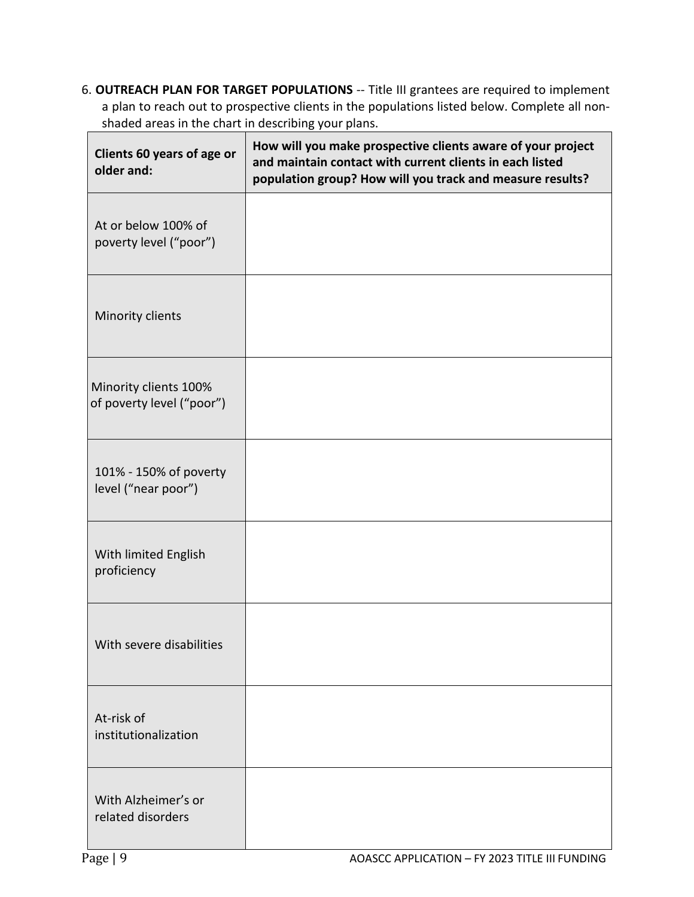6. **OUTREACH PLAN FOR TARGET POPULATIONS** -- Title III grantees are required to implement a plan to reach out to prospective clients in the populations listed below. Complete all nonshaded areas in the chart in describing your plans.

| Clients 60 years of age or<br>older and:           | How will you make prospective clients aware of your project<br>and maintain contact with current clients in each listed<br>population group? How will you track and measure results? |
|----------------------------------------------------|--------------------------------------------------------------------------------------------------------------------------------------------------------------------------------------|
| At or below 100% of<br>poverty level ("poor")      |                                                                                                                                                                                      |
| Minority clients                                   |                                                                                                                                                                                      |
| Minority clients 100%<br>of poverty level ("poor") |                                                                                                                                                                                      |
| 101% - 150% of poverty<br>level ("near poor")      |                                                                                                                                                                                      |
| With limited English<br>proficiency                |                                                                                                                                                                                      |
| With severe disabilities                           |                                                                                                                                                                                      |
| At-risk of<br>institutionalization                 |                                                                                                                                                                                      |
| With Alzheimer's or<br>related disorders           |                                                                                                                                                                                      |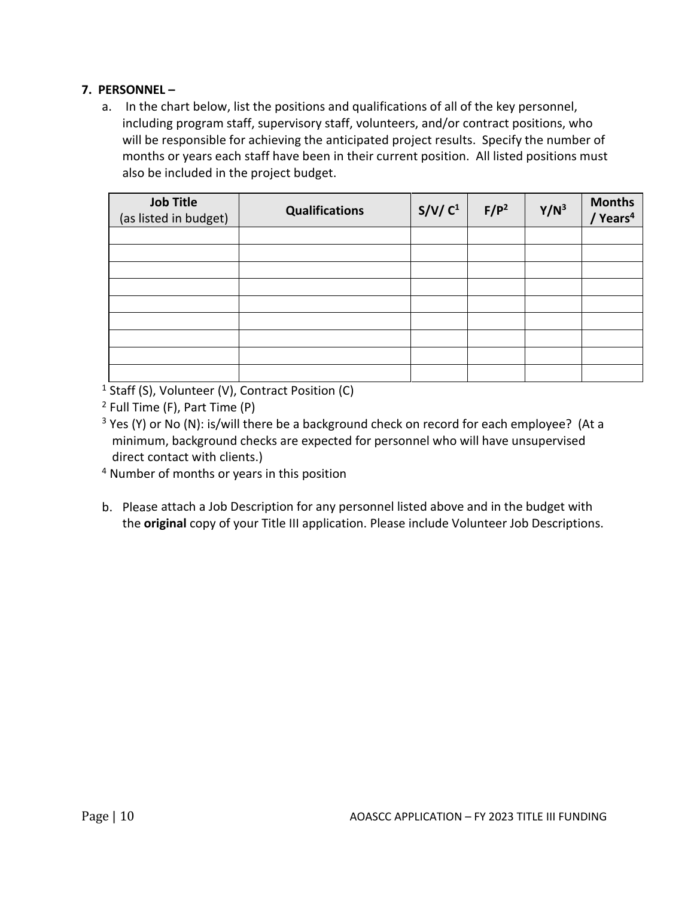# **7. PERSONNEL –**

a. In the chart below, list the positions and qualifications of all of the key personnel, including program staff, supervisory staff, volunteers, and/or contract positions, who will be responsible for achieving the anticipated project results. Specify the number of months or years each staff have been in their current position. All listed positions must also be included in the project budget.

| <b>Job Title</b><br>(as listed in budget) | <b>Qualifications</b> | S/V/C <sup>1</sup> | $F/P^2$ | $Y/N^3$ | <b>Months</b><br>Years <sup>4</sup> |
|-------------------------------------------|-----------------------|--------------------|---------|---------|-------------------------------------|
|                                           |                       |                    |         |         |                                     |
|                                           |                       |                    |         |         |                                     |
|                                           |                       |                    |         |         |                                     |
|                                           |                       |                    |         |         |                                     |
|                                           |                       |                    |         |         |                                     |
|                                           |                       |                    |         |         |                                     |
|                                           |                       |                    |         |         |                                     |
|                                           |                       |                    |         |         |                                     |
|                                           |                       |                    |         |         |                                     |

 $1\overline{\text{Staff}}$  (S), Volunteer (V), Contract Position (C)

- <sup>4</sup> Number of months or years in this position
- b. Please attach a Job Description for any personnel listed above and in the budget with the **original** copy of your Title III application. Please include Volunteer Job Descriptions.

<sup>2</sup> Full Time (F), Part Time (P)

 $3$  Yes (Y) or No (N): is/will there be a background check on record for each employee? (At a minimum, background checks are expected for personnel who will have unsupervised direct contact with clients.)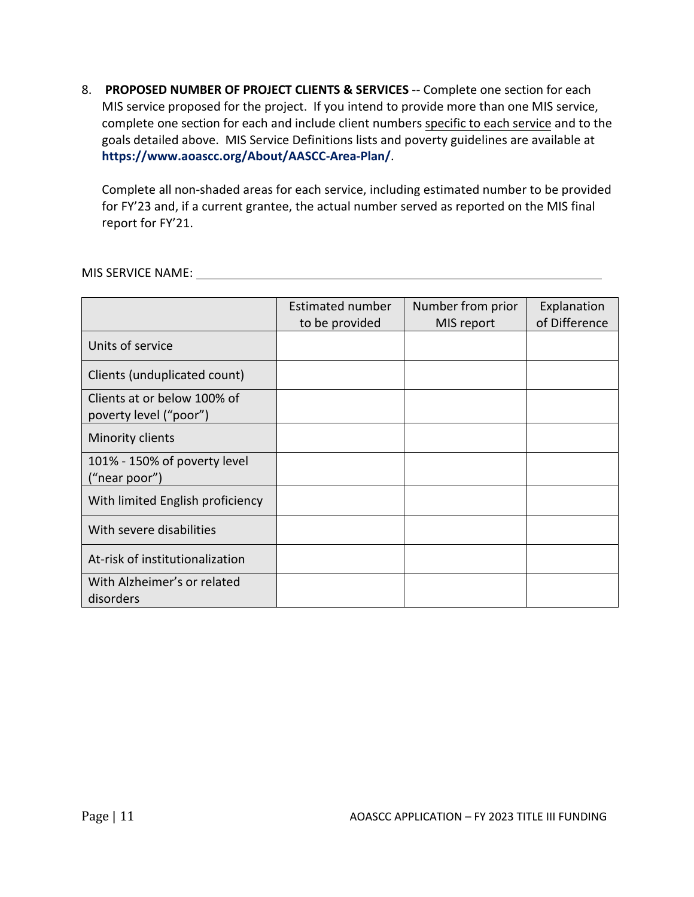8. **PROPOSED NUMBER OF PROJECT CLIENTS & SERVICES** -- Complete one section for each MIS service proposed for the project. If you intend to provide more than one MIS service, complete one section for each and include client numbers specific to each service and to the goals detailed above. MIS Service Definitions lists and poverty guidelines are available at **https://www.aoascc.org/About/AASCC-Area-Plan/**.

Complete all non-shaded areas for each service, including estimated number to be provided for FY'23 and, if a current grantee, the actual number served as reported on the MIS final report for FY'21.

## MIS SERVICE NAME:

|                                                       | <b>Estimated number</b><br>to be provided | Number from prior<br>MIS report | Explanation<br>of Difference |
|-------------------------------------------------------|-------------------------------------------|---------------------------------|------------------------------|
| Units of service                                      |                                           |                                 |                              |
| Clients (unduplicated count)                          |                                           |                                 |                              |
| Clients at or below 100% of<br>poverty level ("poor") |                                           |                                 |                              |
| Minority clients                                      |                                           |                                 |                              |
| 101% - 150% of poverty level<br>("near poor")         |                                           |                                 |                              |
| With limited English proficiency                      |                                           |                                 |                              |
| With severe disabilities                              |                                           |                                 |                              |
| At-risk of institutionalization                       |                                           |                                 |                              |
| With Alzheimer's or related<br>disorders              |                                           |                                 |                              |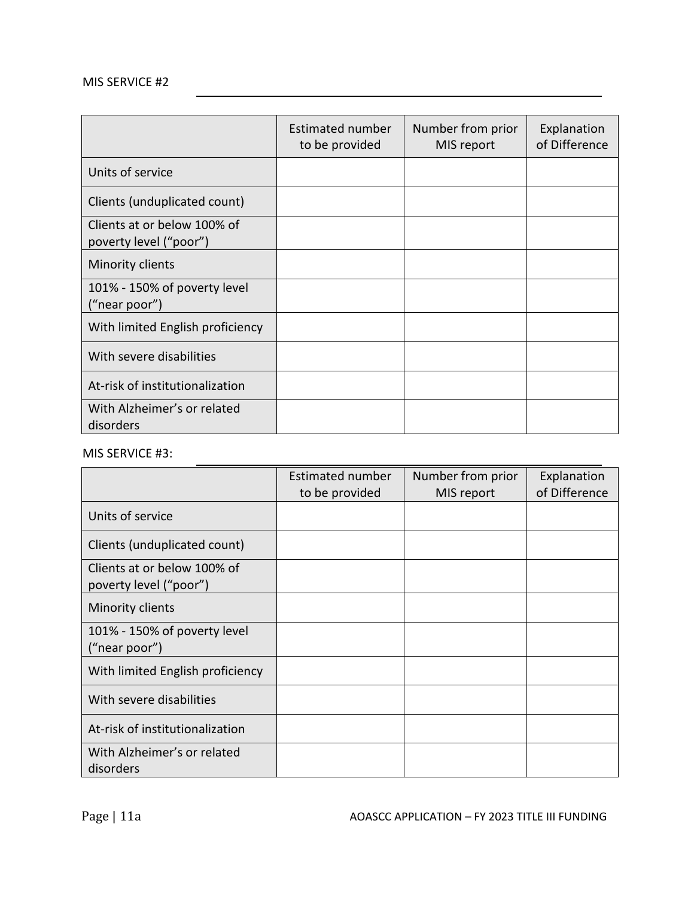# MIS SERVICE #2

|                                                       | <b>Estimated number</b><br>to be provided | Number from prior<br>MIS report | Explanation<br>of Difference |
|-------------------------------------------------------|-------------------------------------------|---------------------------------|------------------------------|
| Units of service                                      |                                           |                                 |                              |
| Clients (unduplicated count)                          |                                           |                                 |                              |
| Clients at or below 100% of<br>poverty level ("poor") |                                           |                                 |                              |
| Minority clients                                      |                                           |                                 |                              |
| 101% - 150% of poverty level<br>("near poor")         |                                           |                                 |                              |
| With limited English proficiency                      |                                           |                                 |                              |
| With severe disabilities                              |                                           |                                 |                              |
| At-risk of institutionalization                       |                                           |                                 |                              |
| With Alzheimer's or related<br>disorders              |                                           |                                 |                              |

#### MIS SERVICE #3:

|                                                       | Estimated number<br>to be provided | Number from prior<br>MIS report | Explanation<br>of Difference |
|-------------------------------------------------------|------------------------------------|---------------------------------|------------------------------|
| Units of service                                      |                                    |                                 |                              |
| Clients (unduplicated count)                          |                                    |                                 |                              |
| Clients at or below 100% of<br>poverty level ("poor") |                                    |                                 |                              |
| Minority clients                                      |                                    |                                 |                              |
| 101% - 150% of poverty level<br>("near poor")         |                                    |                                 |                              |
| With limited English proficiency                      |                                    |                                 |                              |
| With severe disabilities                              |                                    |                                 |                              |
| At-risk of institutionalization                       |                                    |                                 |                              |
| With Alzheimer's or related<br>disorders              |                                    |                                 |                              |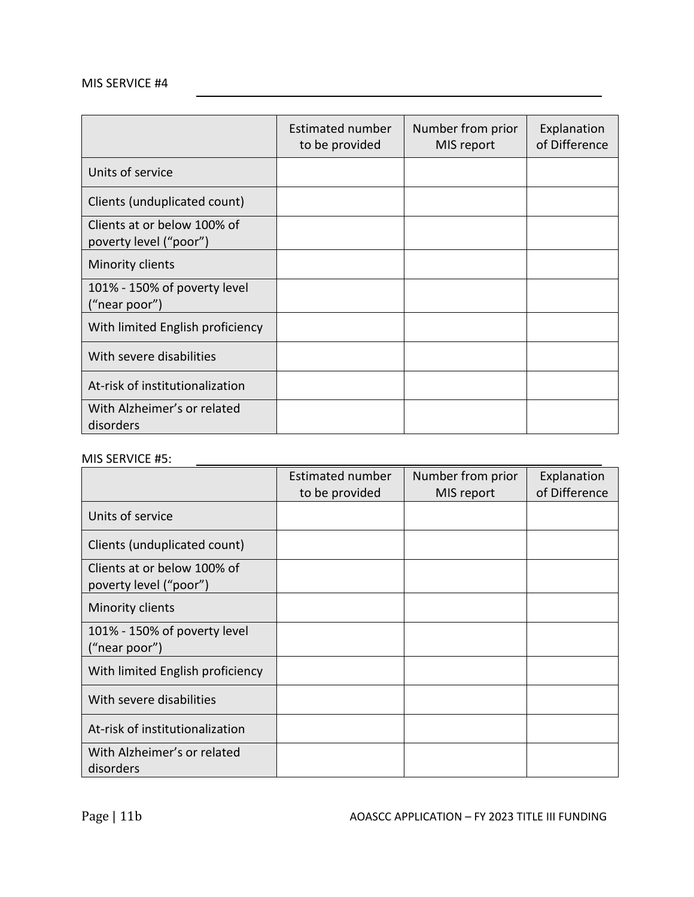# MIS SERVICE #4

|                                                       | Estimated number<br>to be provided | Number from prior<br>MIS report | Explanation<br>of Difference |
|-------------------------------------------------------|------------------------------------|---------------------------------|------------------------------|
| Units of service                                      |                                    |                                 |                              |
| Clients (unduplicated count)                          |                                    |                                 |                              |
| Clients at or below 100% of<br>poverty level ("poor") |                                    |                                 |                              |
| Minority clients                                      |                                    |                                 |                              |
| 101% - 150% of poverty level<br>("near poor")         |                                    |                                 |                              |
| With limited English proficiency                      |                                    |                                 |                              |
| With severe disabilities                              |                                    |                                 |                              |
| At-risk of institutionalization                       |                                    |                                 |                              |
| With Alzheimer's or related<br>disorders              |                                    |                                 |                              |

# MIS SERVICE #5:

|                                                       | Estimated number<br>to be provided | Number from prior<br>MIS report | Explanation<br>of Difference |
|-------------------------------------------------------|------------------------------------|---------------------------------|------------------------------|
| Units of service                                      |                                    |                                 |                              |
| Clients (unduplicated count)                          |                                    |                                 |                              |
| Clients at or below 100% of<br>poverty level ("poor") |                                    |                                 |                              |
| Minority clients                                      |                                    |                                 |                              |
| 101% - 150% of poverty level<br>("near poor")         |                                    |                                 |                              |
| With limited English proficiency                      |                                    |                                 |                              |
| With severe disabilities                              |                                    |                                 |                              |
| At-risk of institutionalization                       |                                    |                                 |                              |
| With Alzheimer's or related<br>disorders              |                                    |                                 |                              |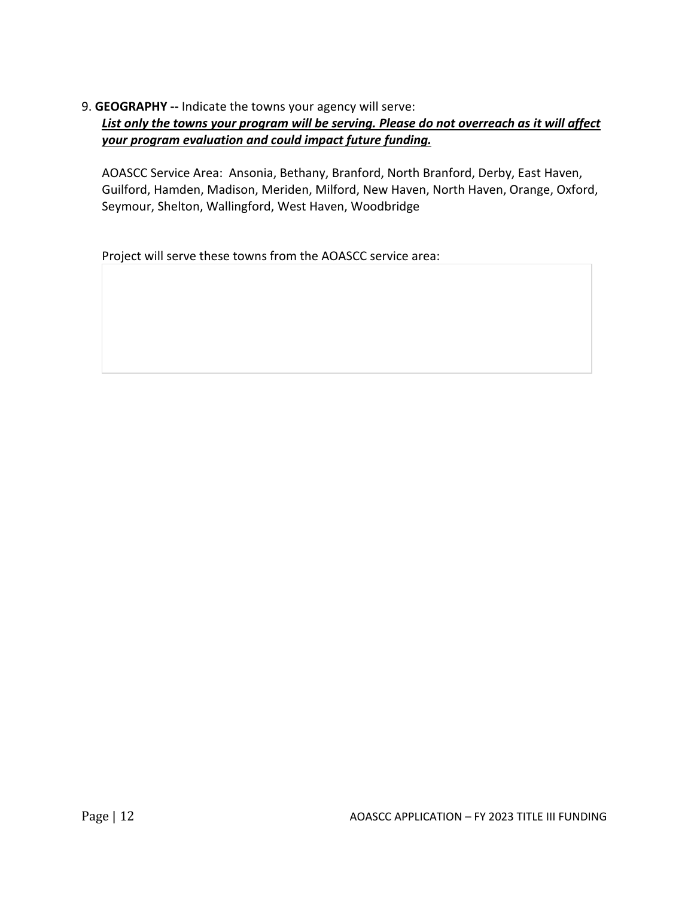9. **GEOGRAPHY --** Indicate the towns your agency will serve: *List only the towns your program will be serving. Please do not overreach as it will affect your program evaluation and could impact future funding.*

AOASCC Service Area: Ansonia, Bethany, Branford, North Branford, Derby, East Haven, Guilford, Hamden, Madison, Meriden, Milford, New Haven, North Haven, Orange, Oxford, Seymour, Shelton, Wallingford, West Haven, Woodbridge

Project will serve these towns from the AOASCC service area: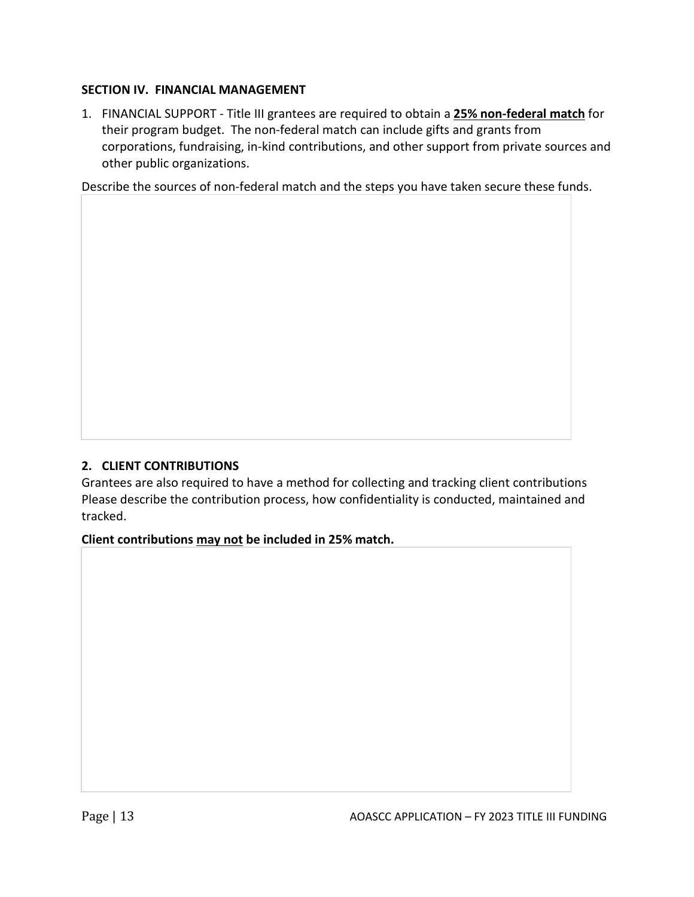# **SECTION IV. FINANCIAL MANAGEMENT**

1. FINANCIAL SUPPORT - Title III grantees are required to obtain a **25% non-federal match** for their program budget. The non-federal match can include gifts and grants from corporations, fundraising, in-kind contributions, and other support from private sources and other public organizations.

Describe the sources of non-federal match and the steps you have taken secure these funds.

# **2. CLIENT CONTRIBUTIONS**

Grantees are also required to have a method for collecting and tracking client contributions Please describe the contribution process, how confidentiality is conducted, maintained and tracked.

**Client contributions may not be included in 25% match.**